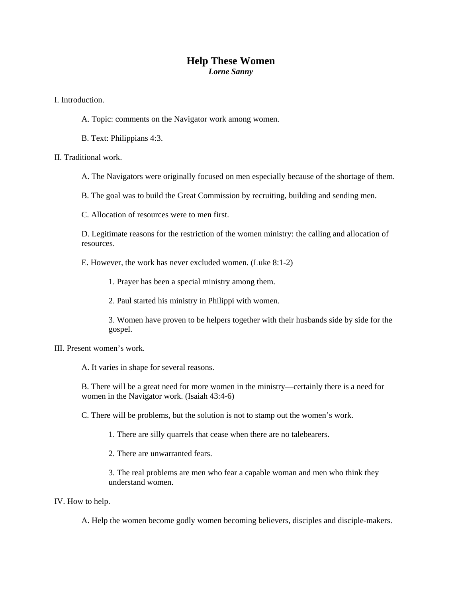## **Help These Women**  *Lorne Sanny*

I. Introduction.

- A. Topic: comments on the Navigator work among women.
- B. Text: Philippians 4:3.

II. Traditional work.

A. The Navigators were originally focused on men especially because of the shortage of them.

B. The goal was to build the Great Commission by recruiting, building and sending men.

C. Allocation of resources were to men first.

D. Legitimate reasons for the restriction of the women ministry: the calling and allocation of resources.

E. However, the work has never excluded women. (Luke 8:1-2)

1. Prayer has been a special ministry among them.

2. Paul started his ministry in Philippi with women.

3. Women have proven to be helpers together with their husbands side by side for the gospel.

III. Present women's work.

A. It varies in shape for several reasons.

B. There will be a great need for more women in the ministry—certainly there is a need for women in the Navigator work. (Isaiah 43:4-6)

C. There will be problems, but the solution is not to stamp out the women's work.

1. There are silly quarrels that cease when there are no talebearers.

2. There are unwarranted fears.

3. The real problems are men who fear a capable woman and men who think they understand women.

## IV. How to help.

A. Help the women become godly women becoming believers, disciples and disciple-makers.